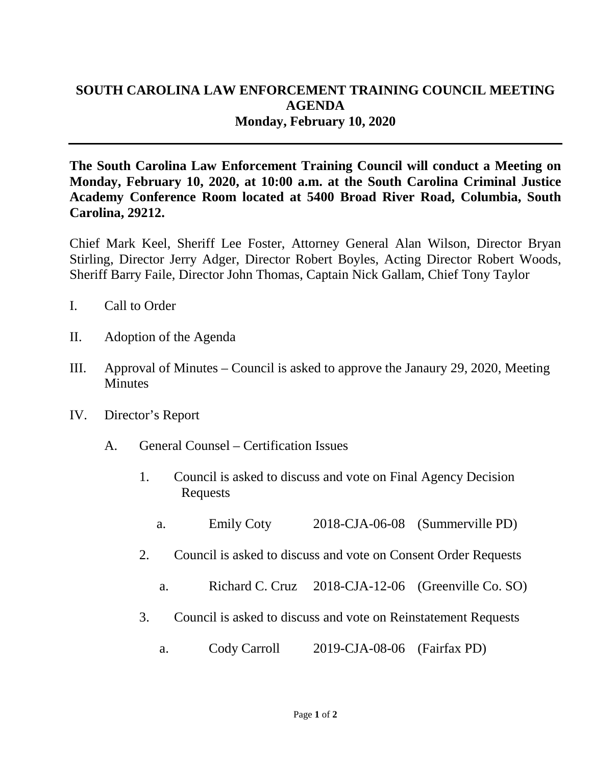## **SOUTH CAROLINA LAW ENFORCEMENT TRAINING COUNCIL MEETING AGENDA Monday, February 10, 2020**

**The South Carolina Law Enforcement Training Council will conduct a Meeting on Monday, February 10, 2020, at 10:00 a.m. at the South Carolina Criminal Justice Academy Conference Room located at 5400 Broad River Road, Columbia, South Carolina, 29212.** 

Chief Mark Keel, Sheriff Lee Foster, Attorney General Alan Wilson, Director Bryan Stirling, Director Jerry Adger, Director Robert Boyles, Acting Director Robert Woods, Sheriff Barry Faile, Director John Thomas, Captain Nick Gallam, Chief Tony Taylor

- I. Call to Order
- II. Adoption of the Agenda
- III. Approval of Minutes Council is asked to approve the Janaury 29, 2020, Meeting **Minutes**
- IV. Director's Report
	- A. General Counsel Certification Issues
		- 1. Council is asked to discuss and vote on Final Agency Decision Requests
			- a. Emily Coty 2018-CJA-06-08 (Summerville PD)
		- 2. Council is asked to discuss and vote on Consent Order Requests
			- a. Richard C. Cruz 2018-CJA-12-06 (Greenville Co. SO)
		- 3. Council is asked to discuss and vote on Reinstatement Requests
			- a. Cody Carroll 2019-CJA-08-06 (Fairfax PD)